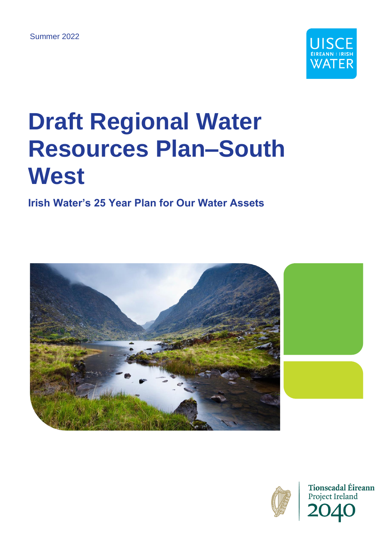

## **Draft Regional Water Resources Plan–South West**

### **Irish Water's 25 Year Plan for Our Water Assets**





**Tionscadal Éireann** Project Ireland 2040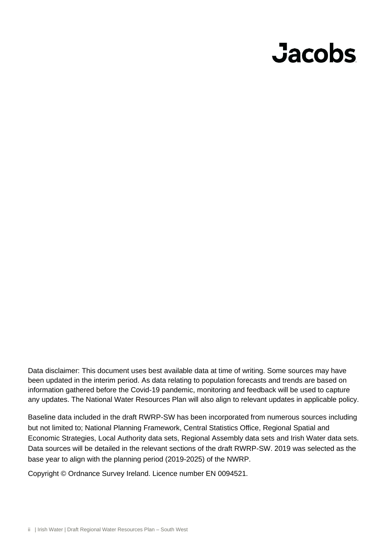# **Jacobs**

Data disclaimer: This document uses best available data at time of writing. Some sources may have been updated in the interim period. As data relating to population forecasts and trends are based on information gathered before the Covid-19 pandemic, monitoring and feedback will be used to capture any updates. The National Water Resources Plan will also align to relevant updates in applicable policy.

Baseline data included in the draft RWRP-SW has been incorporated from numerous sources including but not limited to; National Planning Framework, Central Statistics Office, Regional Spatial and Economic Strategies, Local Authority data sets, Regional Assembly data sets and Irish Water data sets. Data sources will be detailed in the relevant sections of the draft RWRP-SW. 2019 was selected as the base year to align with the planning period (2019-2025) of the NWRP.

Copyright © Ordnance Survey Ireland. Licence number EN 0094521.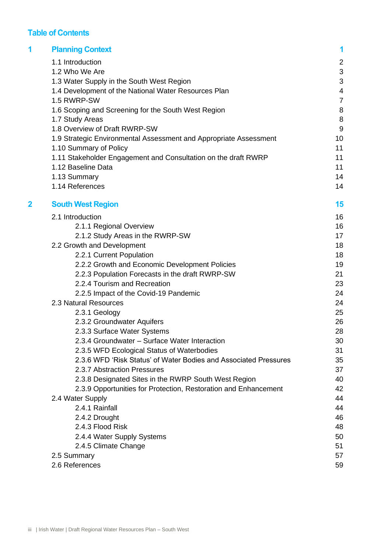#### **Table of Contents**

| 1 | <b>Planning Context</b>                                           | 1              |
|---|-------------------------------------------------------------------|----------------|
|   | 1.1 Introduction                                                  | $\overline{2}$ |
|   | 1.2 Who We Are                                                    | 3              |
|   | 1.3 Water Supply in the South West Region                         | 3              |
|   | 1.4 Development of the National Water Resources Plan              | 4              |
|   | 1.5 RWRP-SW                                                       | $\overline{7}$ |
|   | 1.6 Scoping and Screening for the South West Region               | 8              |
|   | 1.7 Study Areas                                                   | 8              |
|   | 1.8 Overview of Draft RWRP-SW                                     | 9              |
|   | 1.9 Strategic Environmental Assessment and Appropriate Assessment | 10             |
|   | 1.10 Summary of Policy                                            | 11             |
|   | 1.11 Stakeholder Engagement and Consultation on the draft RWRP    | 11             |
|   | 1.12 Baseline Data                                                | 11             |
|   | 1.13 Summary                                                      | 14             |
|   | 1.14 References                                                   | 14             |
| 2 | <b>South West Region</b>                                          | 15             |
|   | 2.1 Introduction                                                  | 16             |
|   | 2.1.1 Regional Overview                                           | 16             |
|   | 2.1.2 Study Areas in the RWRP-SW                                  | 17             |
|   | 2.2 Growth and Development                                        | 18             |
|   | 2.2.1 Current Population                                          | 18             |
|   | 2.2.2 Growth and Economic Development Policies                    | 19             |
|   | 2.2.3 Population Forecasts in the draft RWRP-SW                   | 21             |
|   | 2.2.4 Tourism and Recreation                                      | 23             |
|   | 2.2.5 Impact of the Covid-19 Pandemic                             | 24             |
|   | 2.3 Natural Resources                                             | 24             |
|   | 2.3.1 Geology                                                     | 25             |
|   | 2.3.2 Groundwater Aquifers                                        | 26             |
|   | 2.3.3 Surface Water Systems                                       | 28             |
|   | 2.3.4 Groundwater - Surface Water Interaction                     | 30             |
|   | 2.3.5 WFD Ecological Status of Waterbodies                        | 31             |
|   | 2.3.6 WFD 'Risk Status' of Water Bodies and Associated Pressures  | 35             |
|   | 2.3.7 Abstraction Pressures                                       | 37             |
|   | 2.3.8 Designated Sites in the RWRP South West Region              | 40             |
|   | 2.3.9 Opportunities for Protection, Restoration and Enhancement   | 42             |
|   | 2.4 Water Supply                                                  | 44             |
|   | 2.4.1 Rainfall                                                    | 44             |
|   | 2.4.2 Drought                                                     | 46             |
|   | 2.4.3 Flood Risk                                                  | 48             |
|   | 2.4.4 Water Supply Systems                                        | 50             |
|   | 2.4.5 Climate Change                                              | 51             |
|   | 2.5 Summary                                                       | 57             |
|   | 2.6 References                                                    | 59             |
|   |                                                                   |                |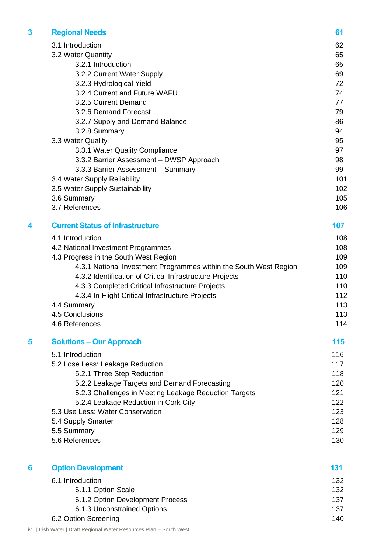| 3 | <b>Regional Needs</b>                                             | 61  |
|---|-------------------------------------------------------------------|-----|
|   | 3.1 Introduction                                                  | 62  |
|   | 3.2 Water Quantity                                                | 65  |
|   | 3.2.1 Introduction                                                | 65  |
|   | 3.2.2 Current Water Supply                                        | 69  |
|   | 3.2.3 Hydrological Yield                                          | 72  |
|   | 3.2.4 Current and Future WAFU                                     | 74  |
|   | 3.2.5 Current Demand                                              | 77  |
|   | 3.2.6 Demand Forecast                                             | 79  |
|   | 3.2.7 Supply and Demand Balance                                   | 86  |
|   | 3.2.8 Summary                                                     | 94  |
|   | 3.3 Water Quality                                                 | 95  |
|   | 3.3.1 Water Quality Compliance                                    | 97  |
|   | 3.3.2 Barrier Assessment - DWSP Approach                          | 98  |
|   | 3.3.3 Barrier Assessment - Summary                                | 99  |
|   | 3.4 Water Supply Reliability                                      | 101 |
|   | 3.5 Water Supply Sustainability                                   | 102 |
|   | 3.6 Summary                                                       | 105 |
|   | 3.7 References                                                    | 106 |
| 4 | <b>Current Status of Infrastructure</b>                           | 107 |
|   | 4.1 Introduction                                                  | 108 |
|   | 4.2 National Investment Programmes                                | 108 |
|   | 4.3 Progress in the South West Region                             | 109 |
|   | 4.3.1 National Investment Programmes within the South West Region | 109 |
|   | 4.3.2 Identification of Critical Infrastructure Projects          | 110 |
|   | 4.3.3 Completed Critical Infrastructure Projects                  | 110 |
|   | 4.3.4 In-Flight Critical Infrastructure Projects                  | 112 |
|   | 4.4 Summary                                                       | 113 |
|   | 4.5 Conclusions                                                   | 113 |
|   | 4.6 References                                                    | 114 |

#### **5 Solutions – Our Approach 115**

5.1 Introduction 116 5.2 Lose Less: Leakage Reduction 117 5.2.1 Three Step Reduction 118 5.2.2 Leakage Targets and Demand Forecasting 120 5.2.3 Challenges in Meeting Leakage Reduction Targets 121 5.2.4 Leakage Reduction in Cork City 122 5.3 Use Less: Water Conservation 123 5.4 Supply Smarter 128 5.5 Summary 129 5.6 References 130

| <b>Option Development</b>        | 131 |
|----------------------------------|-----|
| 6.1 Introduction                 | 132 |
| 6.1.1 Option Scale               | 132 |
| 6.1.2 Option Development Process | 137 |
| 6.1.3 Unconstrained Options      | 137 |
| 6.2 Option Screening             | 140 |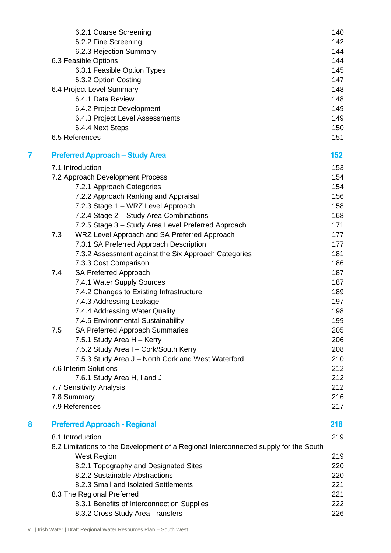|   |     | 6.2.1 Coarse Screening                                                               | 140 |
|---|-----|--------------------------------------------------------------------------------------|-----|
|   |     | 6.2.2 Fine Screening                                                                 | 142 |
|   |     | 6.2.3 Rejection Summary                                                              | 144 |
|   |     | 6.3 Feasible Options                                                                 | 144 |
|   |     | 6.3.1 Feasible Option Types                                                          | 145 |
|   |     | 6.3.2 Option Costing                                                                 | 147 |
|   |     | 6.4 Project Level Summary                                                            | 148 |
|   |     | 6.4.1 Data Review                                                                    | 148 |
|   |     | 6.4.2 Project Development                                                            | 149 |
|   |     | 6.4.3 Project Level Assessments                                                      | 149 |
|   |     | 6.4.4 Next Steps                                                                     | 150 |
|   |     | 6.5 References                                                                       | 151 |
| 7 |     | <b>Preferred Approach - Study Area</b>                                               | 152 |
|   |     | 7.1 Introduction                                                                     | 153 |
|   |     | 7.2 Approach Development Process                                                     | 154 |
|   |     | 7.2.1 Approach Categories                                                            | 154 |
|   |     | 7.2.2 Approach Ranking and Appraisal                                                 | 156 |
|   |     | 7.2.3 Stage 1 - WRZ Level Approach                                                   | 158 |
|   |     | 7.2.4 Stage 2 - Study Area Combinations                                              | 168 |
|   |     | 7.2.5 Stage 3 - Study Area Level Preferred Approach                                  | 171 |
|   | 7.3 | WRZ Level Approach and SA Preferred Approach                                         | 177 |
|   |     | 7.3.1 SA Preferred Approach Description                                              | 177 |
|   |     | 7.3.2 Assessment against the Six Approach Categories                                 | 181 |
|   |     | 7.3.3 Cost Comparison                                                                | 186 |
|   | 7.4 | SA Preferred Approach                                                                | 187 |
|   |     | 7.4.1 Water Supply Sources                                                           | 187 |
|   |     | 7.4.2 Changes to Existing Infrastructure                                             | 189 |
|   |     | 7.4.3 Addressing Leakage                                                             | 197 |
|   |     | 7.4.4 Addressing Water Quality                                                       | 198 |
|   |     | 7.4.5 Environmental Sustainability                                                   | 199 |
|   | 7.5 | <b>SA Preferred Approach Summaries</b>                                               | 205 |
|   |     | 7.5.1 Study Area H - Kerry                                                           | 206 |
|   |     | 7.5.2 Study Area I - Cork/South Kerry                                                | 208 |
|   |     | 7.5.3 Study Area J - North Cork and West Waterford                                   | 210 |
|   |     | 7.6 Interim Solutions                                                                | 212 |
|   |     | 7.6.1 Study Area H, I and J                                                          | 212 |
|   |     | 7.7 Sensitivity Analysis                                                             | 212 |
|   |     | 7.8 Summary                                                                          | 216 |
|   |     | 7.9 References                                                                       | 217 |
| 8 |     | <b>Preferred Approach - Regional</b>                                                 | 218 |
|   |     | 8.1 Introduction                                                                     | 219 |
|   |     | 8.2 Limitations to the Development of a Regional Interconnected supply for the South |     |
|   |     | <b>West Region</b>                                                                   | 219 |
|   |     | 8.2.1 Topography and Designated Sites                                                | 220 |
|   |     | 8.2.2 Sustainable Abstractions                                                       | 220 |
|   |     | 8.2.3 Small and Isolated Settlements                                                 | 221 |
|   |     | 8.3 The Regional Preferred                                                           | 221 |
|   |     | 8.3.1 Benefits of Interconnection Supplies                                           | 222 |
|   |     | 8.3.2 Cross Study Area Transfers                                                     | 226 |
|   |     |                                                                                      |     |